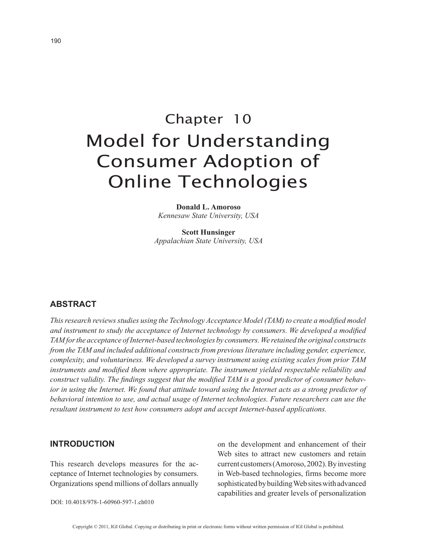# Chapter 10 Model for Understanding Consumer Adoption of Online Technologies

**Donald L. Amoroso** *Kennesaw State University, USA*

**Scott Hunsinger** *Appalachian State University, USA*

# **ABSTRACT**

*This research reviews studies using the Technology Acceptance Model (TAM) to create a modified model and instrument to study the acceptance of Internet technology by consumers. We developed a modified TAM for the acceptance of Internet-based technologies by consumers. We retained the original constructs from the TAM and included additional constructs from previous literature including gender, experience, complexity, and voluntariness. We developed a survey instrument using existing scales from prior TAM instruments and modified them where appropriate. The instrument yielded respectable reliability and construct validity. The findings suggest that the modified TAM is a good predictor of consumer behavior in using the Internet. We found that attitude toward using the Internet acts as a strong predictor of behavioral intention to use, and actual usage of Internet technologies. Future researchers can use the resultant instrument to test how consumers adopt and accept Internet-based applications.*

## **INTRODUCTION**

This research develops measures for the acceptance of Internet technologies by consumers. Organizations spend millions of dollars annually on the development and enhancement of their Web sites to attract new customers and retain current customers (Amoroso, 2002). By investing in Web-based technologies, firms become more sophisticated by building Web sites with advanced capabilities and greater levels of personalization

DOI: 10.4018/978-1-60960-597-1.ch010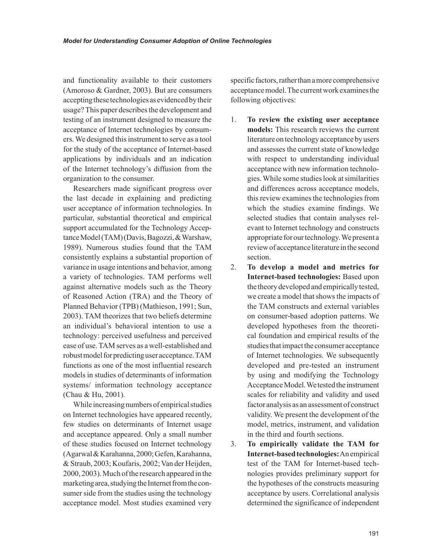and functionality available to their customers (Amoroso & Gardner, 2003). But are consumers accepting these technologies as evidenced by their usage? This paper describes the development and testing of an instrument designed to measure the acceptance of Internet technologies by consumers. We designed this instrument to serve as a tool for the study of the acceptance of Internet-based applications by individuals and an indication of the Internet technology's diffusion from the organization to the consumer.

Researchers made significant progress over the last decade in explaining and predicting user acceptance of information technologies. In particular, substantial theoretical and empirical support accumulated for the Technology Acceptance Model (TAM) (Davis, Bagozzi, & Warshaw, 1989). Numerous studies found that the TAM consistently explains a substantial proportion of variance in usage intentions and behavior, among a variety of technologies. TAM performs well against alternative models such as the Theory of Reasoned Action (TRA) and the Theory of Planned Behavior (TPB) (Mathieson, 1991; Sun, 2003). TAM theorizes that two beliefs determine an individual's behavioral intention to use a technology: perceived usefulness and perceived ease of use. TAM serves as a well-established and robust model for predicting user acceptance. TAM functions as one of the most influential research models in studies of determinants of information systems/ information technology acceptance (Chau & Hu, 2001).

While increasing numbers of empirical studies on Internet technologies have appeared recently, few studies on determinants of Internet usage and acceptance appeared. Only a small number of these studies focused on Internet technology (Agarwal & Karahanna, 2000; Gefen, Karahanna, & Straub, 2003; Koufaris, 2002; Van der Heijden, 2000, 2003). Much of the research appeared in the marketing area, studying the Internet from the consumer side from the studies using the technology acceptance model. Most studies examined very specific factors, rather than a more comprehensive acceptance model. The current work examines the following objectives:

- 1. **To review the existing user acceptance models:** This research reviews the current literature on technology acceptance by users and assesses the current state of knowledge with respect to understanding individual acceptance with new information technologies. While some studies look at similarities and differences across acceptance models, this review examines the technologies from which the studies examine findings. We selected studies that contain analyses relevant to Internet technology and constructs appropriate for our technology. We present a review of acceptance literature in the second section.
- 2. **To develop a model and metrics for Internet-based technologies:** Based upon the theory developed and empirically tested, we create a model that shows the impacts of the TAM constructs and external variables on consumer-based adoption patterns. We developed hypotheses from the theoretical foundation and empirical results of the studies that impact the consumer acceptance of Internet technologies. We subsequently developed and pre-tested an instrument by using and modifying the Technology Acceptance Model. We tested the instrument scales for reliability and validity and used factor analysis as an assessment of construct validity. We present the development of the model, metrics, instrument, and validation in the third and fourth sections.
- 3. **To empirically validate the TAM for Internet-based technologies:** An empirical test of the TAM for Internet-based technologies provides preliminary support for the hypotheses of the constructs measuring acceptance by users. Correlational analysis determined the significance of independent